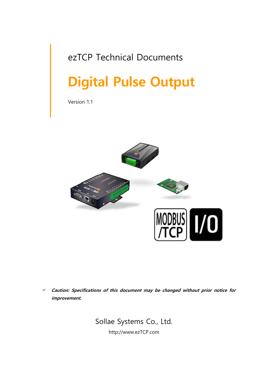# ezTCP Technical Documents

# **Digital Pulse Output**

Version 1.1



 **Caution: Specifications of this document may be changed without prior notice for improvement.**

> Sollae Systems Co., Ltd. http://www.ezTCP.com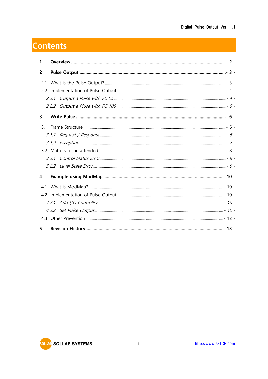# **Contents**

| 1 |  |
|---|--|
| 2 |  |
|   |  |
|   |  |
|   |  |
|   |  |
| 3 |  |
|   |  |
|   |  |
|   |  |
|   |  |
|   |  |
|   |  |
| 4 |  |
|   |  |
|   |  |
|   |  |
|   |  |
|   |  |
| 5 |  |

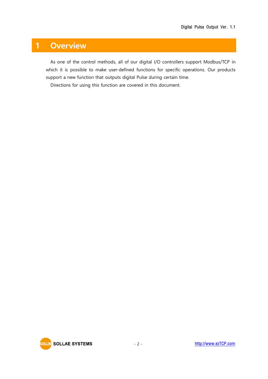# <span id="page-2-0"></span>**1 Overview**

As one of the control methods, all of our digital I/O controllers support Modbus/TCP in which it is possible to make user-defined functions for specific operations. Our products support a new function that outputs digital Pulse during certain time.

Directions for using this function are covered in this document.

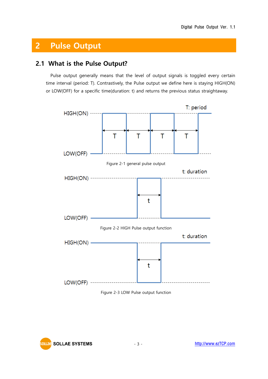# <span id="page-3-0"></span>**2 Pulse Output**

### <span id="page-3-1"></span>**2.1 What is the Pulse Output?**

Pulse output generally means that the level of output signals is toggled every certain time interval (period: T). Contrastively, the Pulse output we define here is staying HIGH(ON) or LOW(OFF) for a specific time(duration: t) and returns the previous status straightaway.





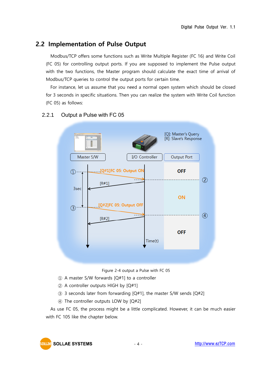## <span id="page-4-0"></span>**2.2 Implementation of Pulse Output**

Modbus/TCP offers some functions such as Write Multiple Register (FC 16) and Write Coil (FC 05) for controlling output ports. If you are supposed to implement the Pulse output with the two functions, the Master program should calculate the exact time of arrival of Modbus/TCP queries to control the output ports for certain time.

For instance, let us assume that you need a normal open system which should be closed for 3 seconds in specific situations. Then you can realize the system with Write Coil function (FC 05) as follows:



#### <span id="page-4-1"></span>2.2.1 Output a Pulse with FC 05

Figure 2-4 output a Pulse with FC 05

- ① A master S/W forwards [Q#1] to a controller
- ② A controller outputs HIGH by [Q#1]
- ③ 3 seconds later from forwarding [Q#1], the master S/W sends [Q#2]
- ④ The controller outputs LOW by [Q#2]

As use FC 05, the process might be a little complicated. However, it can be much easier with FC 105 like the chapter below.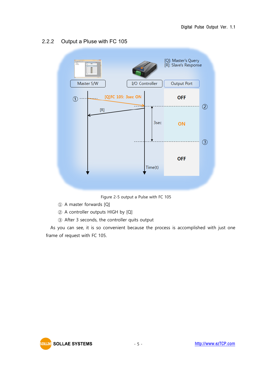

#### <span id="page-5-0"></span>2.2.2 Output a Pluse with FC 105

Figure 2-5 output a Pulse with FC 105

- ① A master forwards [Q]
- ② A controller outputs HIGH by [Q]
- ③ After 3 seconds, the controller quits output

As you can see, it is so convenient because the process is accomplished with just one frame of request with FC 105.

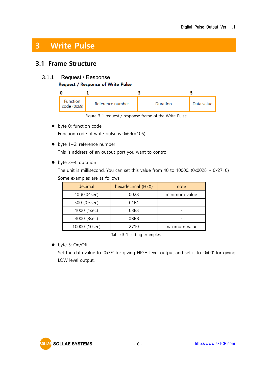# <span id="page-6-0"></span>**3 Write Pulse**

### <span id="page-6-1"></span>**3.1 Frame Structure**

#### <span id="page-6-2"></span>3.1.1 Request / Response

#### Request / Response of Write Pulse

| <b>Function</b><br>code (0x69) | Reference number | <b>Duration</b> | Data value |
|--------------------------------|------------------|-----------------|------------|

Figure 3-1 request / response frame of the Write Pulse

● byte 0: function code

Function code of write pulse is 0x69(=105).

● byte 1~2: reference number

This is address of an output port you want to control.

● byte 3~4: duration

The unit is millisecond. You can set this value from 40 to 10000. (0x0028  $\sim$  0x2710) Some examples are as follows:

| decimal       | hexadecimal (HEX) | note          |
|---------------|-------------------|---------------|
| 40 (0.04sec)  | 0028              | minimum value |
| 500 (0.5sec)  | 01F4              |               |
| 1000 (1sec)   | 03E8              |               |
| 3000 (3sec)   | OBB8              |               |
| 10000 (10sec) | 2710              | maximum value |

Table 3-1 setting examples

byte 5: On/Off

Set the data value to '0xFF' for giving HIGH level output and set it to '0x00' for giving LOW level output.

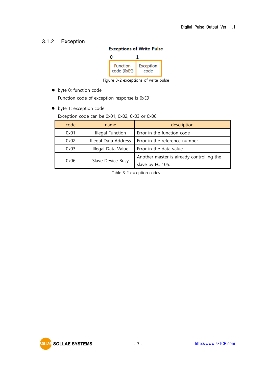#### <span id="page-7-0"></span>3.1.2 Exception

#### **Exceptions of Write Pulse**



Figure 3-2 exceptions of write pulse

- byte 0: function code Function code of exception response is 0xE9
- byte 1: exception code

Exception code can be 0x01, 0x02, 0x03 or 0x06.

| code | name                                           | description                               |
|------|------------------------------------------------|-------------------------------------------|
| 0x01 | Error in the function code<br>Illegal Function |                                           |
| 0x02 | Illegal Data Address                           | Error in the reference number             |
| 0x03 | Illegal Data Value                             | Error in the data value                   |
|      | Slave Device Busy                              | Another master is already controlling the |
| 0x06 |                                                | slave by FC 105.                          |

Table 3-2 exception codes

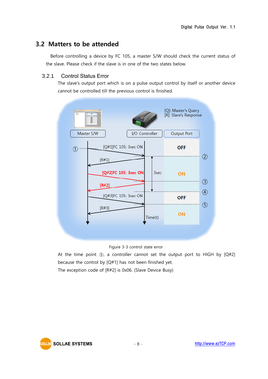### <span id="page-8-0"></span>**3.2 Matters to be attended**

Before controlling a device by FC 105, a master S/W should check the current status of the slave. Please check if the slave is in one of the two states below.

#### <span id="page-8-1"></span>3.2.1 Control Status Error

The slave's output port which is on a pulse output control by itself or another device cannot be controlled till the previous control is finished.



Figure 3-3 control state error

At the time point  $(3)$ , a controller cannot set the output port to HIGH by  $[Q#2]$ because the control by [Q#1] has not been finished yet.

The exception code of [R#2] is 0x06. (Slave Device Busy)

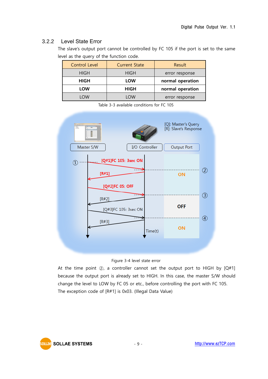#### <span id="page-9-0"></span>3.2.2 Level State Error

The slave's output port cannot be controlled by FC 105 if the port is set to the same level as the query of the function code.

| <b>Control Level</b> | <b>Current State</b> | Result           |
|----------------------|----------------------|------------------|
| <b>HIGH</b>          | <b>HIGH</b>          | error response   |
| HIGH                 | LOW                  | normal operation |
| LOW                  | <b>HIGH</b>          | normal operation |
| <b>OW</b>            | <b>OW</b>            | error response   |

Table 3-3 available conditions for FC 105





At the time point  $(2)$ , a controller cannot set the output port to HIGH by  $[Q#1]$ because the output port is already set to HIGH. In this case, the master S/W should change the level to LOW by FC 05 or etc., before controlling the port with FC 105. The exception code of [R#1] is 0x03. (Illegal Data Value)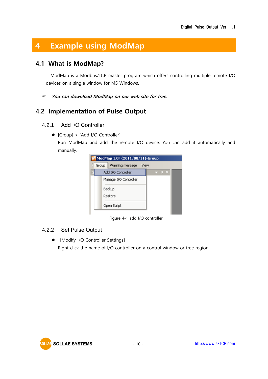# <span id="page-10-0"></span>**4 Example using ModMap**

### <span id="page-10-1"></span>**4.1 What is ModMap?**

ModMap is a Modbus/TCP master program which offers controlling multiple remote I/O devices on a single window for MS Windows.

**You can download ModMap on our web site for free.**

### <span id="page-10-2"></span>**4.2 Implementation of Pulse Output**

#### <span id="page-10-3"></span>4.2.1 Add I/O Controller

[Group] > [Add I/O Controller]

Run ModMap and add the remote I/O device. You can add it automatically and manually.

| ModMap 1.0F (2011/08/11)-Group |                       |                    |      |            |  |
|--------------------------------|-----------------------|--------------------|------|------------|--|
|                                | Group                 | Warning message    | View |            |  |
|                                |                       | Add I/O Controller |      | $\sqrt{2}$ |  |
|                                | Manage I/O Controller |                    |      |            |  |
|                                |                       | Backup             |      |            |  |
|                                |                       | Restore            |      |            |  |
|                                |                       | Open Script        |      |            |  |
|                                |                       |                    |      |            |  |

Figure 4-1 add I/O controller

#### <span id="page-10-4"></span>4.2.2 Set Pulse Output

 $\bullet$  [Modify I/O Controller Settings] Right click the name of I/O controller on a control window or tree region.

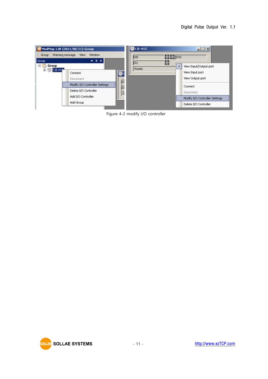

Figure 4-2 modify I/O controller

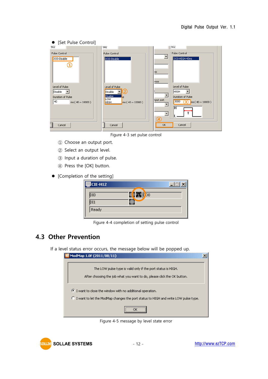| • [Set Pulse Control]                                                                         |                                                                                                                 |                                                                                                                                                                           |
|-----------------------------------------------------------------------------------------------|-----------------------------------------------------------------------------------------------------------------|---------------------------------------------------------------------------------------------------------------------------------------------------------------------------|
| 502                                                                                           | <b>502</b>                                                                                                      | 502                                                                                                                                                                       |
| Pulse Control                                                                                 | Pulse Control                                                                                                   | Pulse Control                                                                                                                                                             |
| DO0-Disable<br>Level of Pulse<br>Disable<br>Duration of Pulse<br>40<br>ms ( $40 \sim 10000$ ) | DO0-Disable<br>Level of Pulse<br>Disable<br><b>Disable</b><br>e<br>LOW<br>ms ( $40 \sim 10000$ )<br><b>HIGH</b> | DO0-HIGH-40ms<br><b>SS</b><br>ress<br>Level of Pulse<br><b>HIGH</b><br>Duration of Pulse<br>tput port<br>3000<br>$(3)$ ms (40 ~ 10000)<br>lн<br>т<br>$\blacktriangledown$ |
|                                                                                               |                                                                                                                 |                                                                                                                                                                           |
| Cancel                                                                                        | Cancel                                                                                                          | OK<br>Cancel                                                                                                                                                              |

Figure 4-3 set pulse control

- ① Choose an output port.
- ② Select an output level.
- ③ Input a duration of pulse.
- ④ Press the [OK] button.
- [Completion of the setting]

| CIE-H12          |                 |  |
|------------------|-----------------|--|
| <b>DIO</b>       | $\ln \log$<br>ι |  |
| $\overline{D11}$ |                 |  |
| Ready            |                 |  |
|                  |                 |  |

Figure 4-4 completion of setting pulse control

### <span id="page-12-0"></span>**4.3 Other Prevention**

If a level status error occurs, the message below will be popped up.

| ModMap 1.0F (2011/08/11)                                                                                                                         |  |
|--------------------------------------------------------------------------------------------------------------------------------------------------|--|
| The LOW pulse type is valid only if the port status is HIGH.<br>After choosing the job what you want to do, please click the OK button.          |  |
| I want to close the window with no additional operation.<br>C I want to let the ModMap changes the port status to HIGH and write LOW pulse type. |  |
|                                                                                                                                                  |  |

Figure 4-5 message by level state error